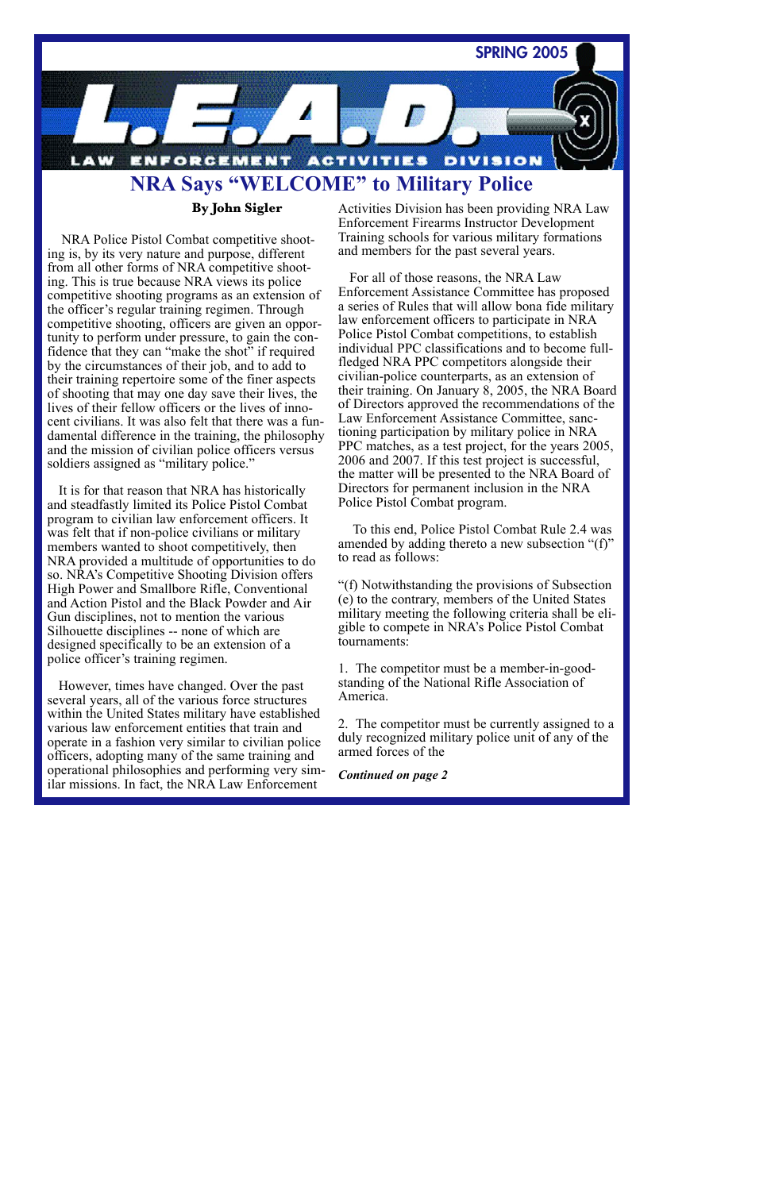

## **By John Sigler**

NRA Police Pistol Combat competitive shooting is, by its very nature and purpose, different from all other forms of NRA competitive shooting. This is true because NRA views its police competitive shooting programs as an extension of the officer's regular training regimen. Through competitive shooting, officers are given an opportunity to perform under pressure, to gain the confidence that they can "make the shot" if required by the circumstances of their job, and to add to their training repertoire some of the finer aspects of shooting that may one day save their lives, the lives of their fellow officers or the lives of innocent civilians. It was also felt that there was a fundamental difference in the training, the philosophy and the mission of civilian police officers versus soldiers assigned as "military police."

It is for that reason that NRA has historically and steadfastly limited its Police Pistol Combat program to civilian law enforcement officers. It was felt that if non-police civilians or military members wanted to shoot competitively, then NRA provided a multitude of opportunities to do so. NRA's Competitive Shooting Division offers High Power and Smallbore Rifle, Conventional and Action Pistol and the Black Powder and Air Gun disciplines, not to mention the various Silhouette disciplines -- none of which are designed specifically to be an extension of a police officer's training regimen.

However, times have changed. Over the past several years, all of the various force structures within the United States military have established various law enforcement entities that train and operate in a fashion very similar to civilian police officers, adopting many of the same training and operational philosophies and performing very similar missions. In fact, the NRA Law Enforcement

Activities Division has been providing NRA Law Enforcement Firearms Instructor Development Training schools for various military formations and members for the past several years.

For all of those reasons, the NRA Law Enforcement Assistance Committee has proposed a series of Rules that will allow bona fide military law enforcement officers to participate in NRA Police Pistol Combat competitions, to establish individual PPC classifications and to become fullfledged NRA PPC competitors alongside their civilian-police counterparts, as an extension of their training. On January 8, 2005, the NRA Board of Directors approved the recommendations of the Law Enforcement Assistance Committee, sanctioning participation by military police in NRA PPC matches, as a test project, for the years 2005, 2006 and 2007. If this test project is successful, the matter will be presented to the NRA Board of Directors for permanent inclusion in the NRA Police Pistol Combat program.

To this end, Police Pistol Combat Rule 2.4 was amended by adding thereto a new subsection "(f)" to read as follows:

"(f) Notwithstanding the provisions of Subsection (e) to the contrary, members of the United States military meeting the following criteria shall be eligible to compete in NRA's Police Pistol Combat tournaments:

1. The competitor must be a member-in-goodstanding of the National Rifle Association of America.

2. The competitor must be currently assigned to a duly recognized military police unit of any of the armed forces of the

*Continued on page 2*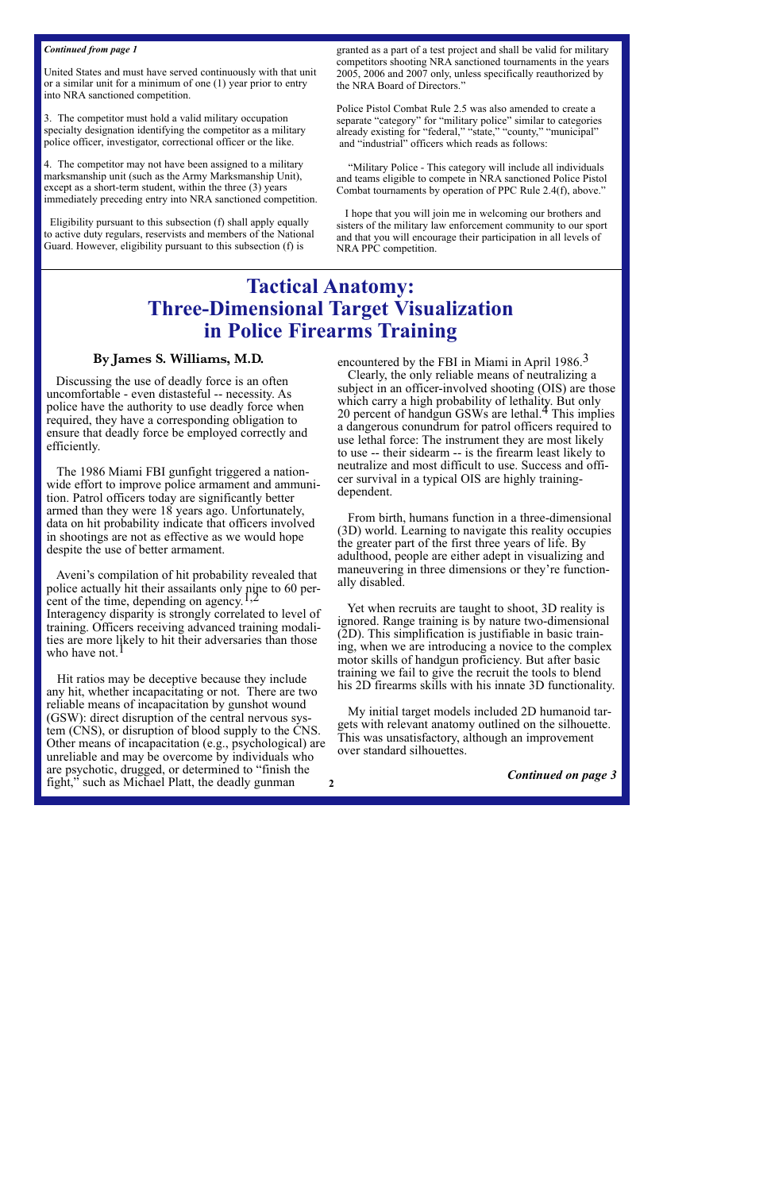#### *Continued from page 1*

United States and must have served continuously with that unit or a similar unit for a minimum of one (1) year prior to entry into NRA sanctioned competition.

3. The competitor must hold a valid military occupation specialty designation identifying the competitor as a military police officer, investigator, correctional officer or the like.

4. The competitor may not have been assigned to a military marksmanship unit (such as the Army Marksmanship Unit), except as a short-term student, within the three (3) years immediately preceding entry into NRA sanctioned competition.

Eligibility pursuant to this subsection (f) shall apply equally to active duty regulars, reservists and members of the National Guard. However, eligibility pursuant to this subsection (f) is

granted as a part of a test project and shall be valid for military competitors shooting NRA sanctioned tournaments in the years 2005, 2006 and 2007 only, unless specifically reauthorized by the NRA Board of Directors."

Police Pistol Combat Rule 2.5 was also amended to create a separate "category" for "military police" similar to categories already existing for "federal," "state," "county," "municipal" and "industrial" officers which reads as follows:

"Military Police - This category will include all individuals and teams eligible to compete in NRA sanctioned Police Pistol Combat tournaments by operation of PPC Rule 2.4(f), above."

I hope that you will join me in welcoming our brothers and sisters of the military law enforcement community to our sport and that you will encourage their participation in all levels of NRA PPC competition.

# **Tactical Anatomy: Three-Dimensional Target Visualization in Police Firearms Training**

## **By James S. Williams, M.D.**

Discussing the use of deadly force is an often uncomfortable - even distasteful -- necessity. As police have the authority to use deadly force when required, they have a corresponding obligation to ensure that deadly force be employed correctly and efficiently.

The 1986 Miami FBI gunfight triggered a nationwide effort to improve police armament and ammunition. Patrol officers today are significantly better armed than they were 18 years ago. Unfortunately, data on hit probability indicate that officers involved in shootings are not as effective as we would hope despite the use of better armament.

Aveni's compilation of hit probability revealed that police actually hit their assailants only nine to 60 percent of the time, depending on agency.<sup>1,2</sup> Interagency disparity is strongly correlated to level of training. Officers receiving advanced training modalities are more likely to hit their adversaries than those who have not.

Hit ratios may be deceptive because they include any hit, whether incapacitating or not. There are two reliable means of incapacitation by gunshot wound (GSW): direct disruption of the central nervous system (CNS), or disruption of blood supply to the CNS. Other means of incapacitation (e.g., psychological) are unreliable and may be overcome by individuals who are psychotic, drugged, or determined to "finish the fight," such as Michael Platt, the deadly gunman

encountered by the FBI in Miami in April 1986.<sup>3</sup>

Clearly, the only reliable means of neutralizing a subject in an officer-involved shooting (OIS) are those which carry a high probability of lethality. But only 20 percent of handgun GSWs are lethal. $4$  This implies a dangerous conundrum for patrol officers required to use lethal force: The instrument they are most likely to use -- their sidearm -- is the firearm least likely to neutralize and most difficult to use. Success and officer survival in a typical OIS are highly trainingdependent.

From birth, humans function in a three-dimensional (3D) world. Learning to navigate this reality occupies the greater part of the first three years of life. By adulthood, people are either adept in visualizing and maneuvering in three dimensions or they're functionally disabled.

Yet when recruits are taught to shoot, 3D reality is ignored. Range training is by nature two-dimensional (2D). This simplification is justifiable in basic training, when we are introducing a novice to the complex motor skills of handgun proficiency. But after basic training we fail to give the recruit the tools to blend his 2D firearms skills with his innate 3D functionality.

My initial target models included 2D humanoid targets with relevant anatomy outlined on the silhouette. This was unsatisfactory, although an improvement over standard silhouettes.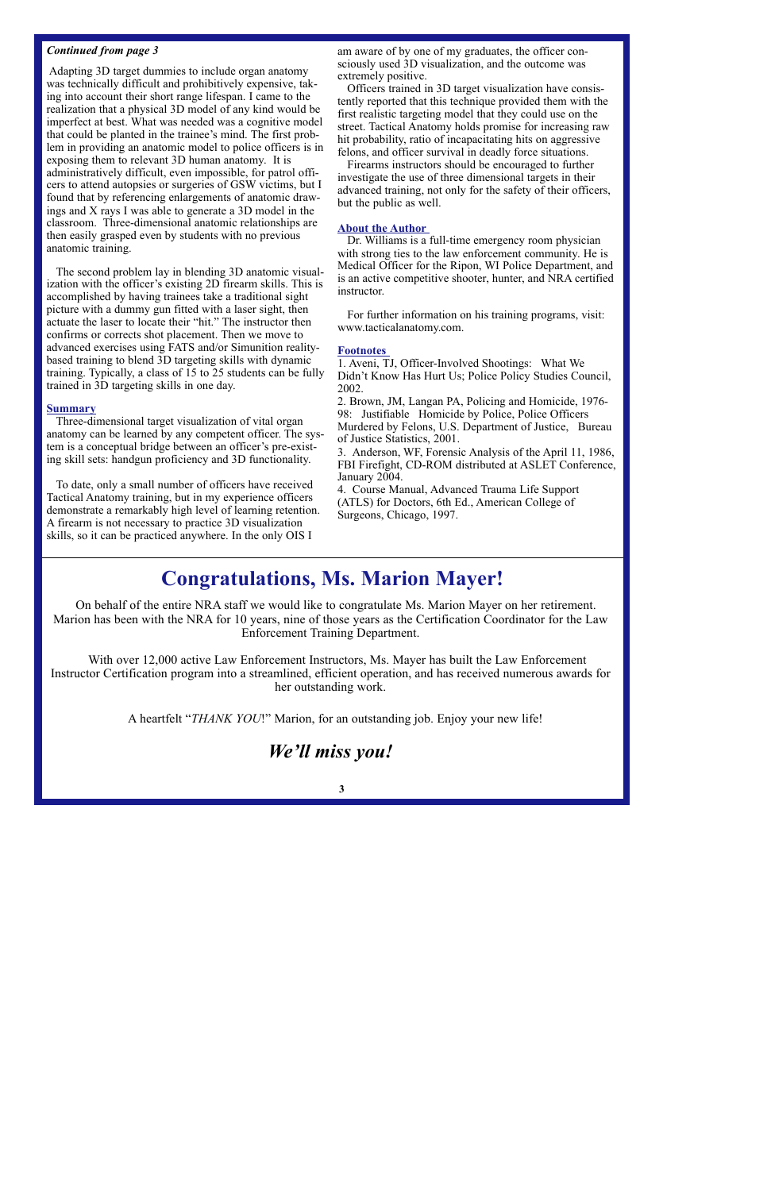#### *Continued from page 3*

Adapting 3D target dummies to include organ anatomy was technically difficult and prohibitively expensive, taking into account their short range lifespan. I came to the realization that a physical 3D model of any kind would be imperfect at best. What was needed was a cognitive model that could be planted in the trainee's mind. The first problem in providing an anatomic model to police officers is in exposing them to relevant 3D human anatomy. It is administratively difficult, even impossible, for patrol officers to attend autopsies or surgeries of GSW victims, but I found that by referencing enlargements of anatomic drawings and X rays I was able to generate a 3D model in the classroom. Three-dimensional anatomic relationships are then easily grasped even by students with no previous anatomic training.

The second problem lay in blending 3D anatomic visualization with the officer's existing 2D firearm skills. This is accomplished by having trainees take a traditional sight picture with a dummy gun fitted with a laser sight, then actuate the laser to locate their "hit." The instructor then confirms or corrects shot placement. Then we move to advanced exercises using FATS and/or Simunition realitybased training to blend 3D targeting skills with dynamic training. Typically, a class of 15 to 25 students can be fully trained in 3D targeting skills in one day.

#### **Summary**

Three-dimensional target visualization of vital organ anatomy can be learned by any competent officer. The system is a conceptual bridge between an officer's pre-existing skill sets: handgun proficiency and 3D functionality.

To date, only a small number of officers have received Tactical Anatomy training, but in my experience officers demonstrate a remarkably high level of learning retention. A firearm is not necessary to practice 3D visualization skills, so it can be practiced anywhere. In the only OIS I

am aware of by one of my graduates, the officer consciously used 3D visualization, and the outcome was extremely positive.

Officers trained in 3D target visualization have consistently reported that this technique provided them with the first realistic targeting model that they could use on the street. Tactical Anatomy holds promise for increasing raw hit probability, ratio of incapacitating hits on aggressive felons, and officer survival in deadly force situations.

Firearms instructors should be encouraged to further investigate the use of three dimensional targets in their advanced training, not only for the safety of their officers, but the public as well.

#### **About the Author**

Dr. Williams is a full-time emergency room physician with strong ties to the law enforcement community. He is Medical Officer for the Ripon, WI Police Department, and is an active competitive shooter, hunter, and NRA certified instructor.

For further information on his training programs, visit: www.tacticalanatomy.com.

#### **Footnotes**

1. Aveni, TJ, Officer-Involved Shootings: What We Didn't Know Has Hurt Us; Police Policy Studies Council, 2002.

2. Brown, JM, Langan PA, Policing and Homicide, 1976- 98: Justifiable Homicide by Police, Police Officers Murdered by Felons, U.S. Department of Justice, Bureau of Justice Statistics, 2001.

3. Anderson, WF, Forensic Analysis of the April 11, 1986, FBI Firefight, CD-ROM distributed at ASLET Conference, January 2004.

4. Course Manual, Advanced Trauma Life Support (ATLS) for Doctors, 6th Ed., American College of Surgeons, Chicago, 1997.

# **Congratulations, Ms. Marion Mayer!**

On behalf of the entire NRA staff we would like to congratulate Ms. Marion Mayer on her retirement. Marion has been with the NRA for 10 years, nine of those years as the Certification Coordinator for the Law Enforcement Training Department.

With over 12,000 active Law Enforcement Instructors, Ms. Mayer has built the Law Enforcement Instructor Certification program into a streamlined, efficient operation, and has received numerous awards for her outstanding work.

A heartfelt "*THANK YOU*!" Marion, for an outstanding job. Enjoy your new life!

# *We'll miss you!*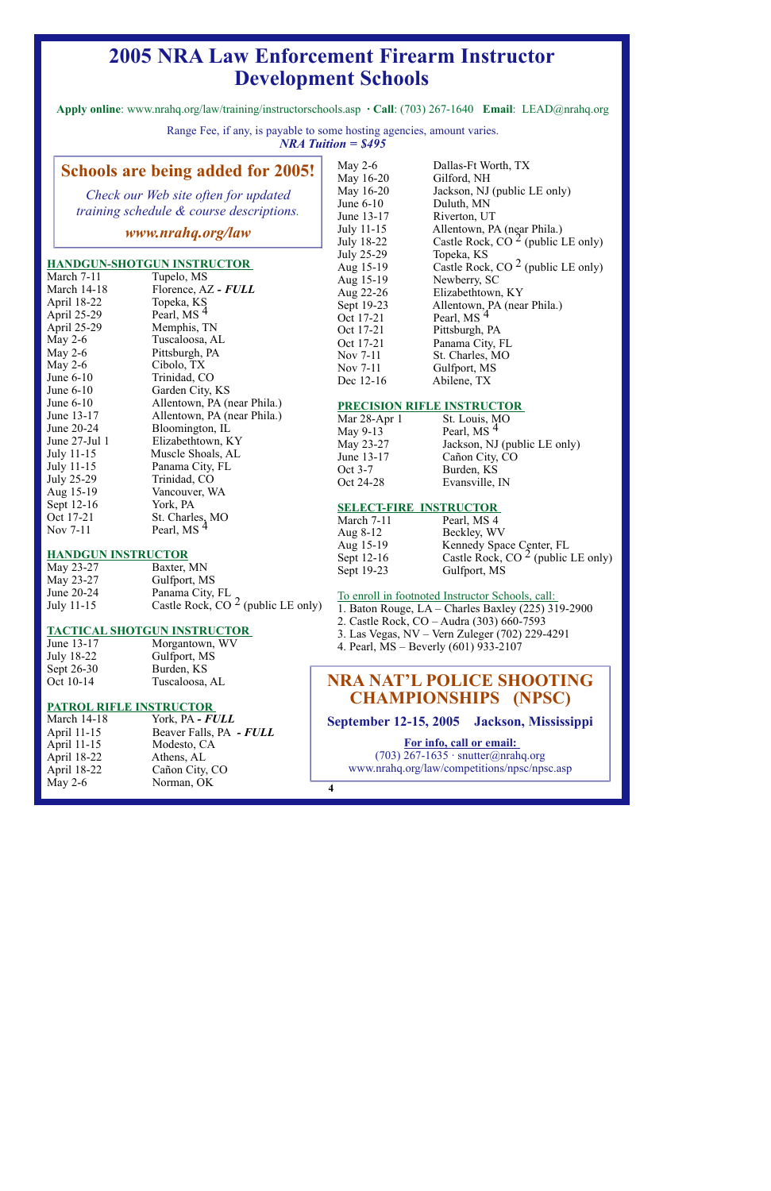# **2005 NRA Law Enforcement Firearm Instructor Development Schools**

**Apply online**: www.nrahq.org/law/training/instructorschools.asp **· Call**: (703) 267-1640 **Email**: LEAD@nrahq.org

Range Fee, if any, is payable to some hosting agencies, amount varies. *NRA Tuition = \$495*

## **Schools are being added for 2005!**

*Check our Web site often for updated training schedule & course descriptions.*

## *www.nrahq.org/law*

#### **HANDGUN-SHOTGUN INSTRUCTOR**

| March 7-11         | Tupelo, MS                  |
|--------------------|-----------------------------|
| <b>March 14-18</b> | Florence, AZ - FULL         |
| April 18-22        | Topeka, KS                  |
| April 25-29        | Pearl, MS <sup>4</sup>      |
| April 25-29        | Memphis, TN                 |
| May $2-6$          | Tuscaloosa, AL              |
| May 2-6            | Pittsburgh, PA              |
| May $2-6$          | Cibolo, TX                  |
| June $6-10$        | Trinidad, CO                |
| June $6-10$        | Garden City, KS             |
| June $6-10$        | Allentown, PA (near Phila.) |
| June 13-17         | Allentown, PA (near Phila.) |
| June 20-24         | Bloomington, IL             |
| June $27$ -Jul 1   | Elizabethtown, KY           |
| July 11-15         | Muscle Shoals, AL           |
| July 11-15         | Panama City, FL             |
| July 25-29         | Trinidad, CO                |
| Aug 15-19          | Vancouver, WA               |
| Sept 12-16         | York, PA                    |
| Oct 17-21          | St. Charles, MO             |
| Nov 7-11           | Pearl, MS <sup>4</sup>      |

#### **HANDGUN INSTRUCTOR**

| May 23-27  | Baxter, MN                           |
|------------|--------------------------------------|
| May 23-27  | Gulfport, MS                         |
| June 20-24 | Panama City, FL                      |
| July 11-15 | Castle Rock, CO $2$ (public LE only) |

#### **TACTICAL SHOTGUN INSTRUCTOR**

June 13-17 Morgantown, WV July 18-22 Gulfport, MS Sept 26-30 Burden, KS Oct 10-14 Tuscaloosa, AL

#### **PATROL RIFLE INSTRUCTOR**

| <b>March 14-18</b> | York, PA - FULL         |
|--------------------|-------------------------|
| April 11-15        | Beaver Falls, PA - FULL |
| April 11-15        | Modesto, CA             |
| April 18-22        | Athens, AL              |
| April 18-22        | Cañon City, CO          |
| May 2-6            | Norman, OK              |

| May 2-6           | Dallas-Ft Worth, TX                  |
|-------------------|--------------------------------------|
| May 16-20         | Gilford, NH                          |
| May 16-20         | Jackson, NJ (public LE only)         |
| June $6-10$       | Duluth, MN                           |
| June 13-17        | Riverton, UT                         |
| July 11-15        | Allentown, PA (near Phila.)          |
| <b>July 18-22</b> | Castle Rock, $CO2$ (public LE only)  |
| <b>July 25-29</b> | Topeka, KS                           |
| Aug 15-19         | Castle Rock, CO $2$ (public LE only) |
| Aug 15-19         | Newberry, SC                         |
| Aug 22-26         | Elizabethtown, KY                    |
| Sept 19-23        | Allentown, PA (near Phila.)          |
| Oct 17-21         | Pearl, MS <sup>4</sup>               |
| Oct 17-21         | Pittsburgh, PA                       |
| Oct 17-21         | Panama City, FL                      |
| Nov 7-11          | St. Charles, MO                      |
| Nov 7-11          | Gulfport, MS                         |
| Dec 12-16         | Abilene, TX                          |
|                   |                                      |

#### **PRECISION RIFLE INSTRUCTOR**

| Mar 28-Apr 1 | St. Louis, MO                       |
|--------------|-------------------------------------|
| May 9-13     | Pearl, $\overline{MS}$ <sup>4</sup> |
| May 23-27    | Jackson, NJ (public LE only)        |
| June 13-17   | Cañon City, CO                      |
| Oct 3-7      | Burden, KS                          |
| Oct 24-28    | Evansville, IN                      |

#### **SELECT-FIRE INSTRUCTOR**

| March 7-11 | Pearl, MS 4                                                       |
|------------|-------------------------------------------------------------------|
| Aug $8-12$ | Beckley, WV                                                       |
| Aug 15-19  |                                                                   |
| Sept 12-16 | Kennedy Space Center, FL<br>Castle Rock, CO $^2$ (public LE only) |
| Sept 19-23 | Gulfport, MS                                                      |

To enroll in footnoted Instructor Schools, call:

- 1. Baton Rouge, LA Charles Baxley (225) 319-2900
- 2. Castle Rock, CO Audra (303) 660-7593
- 3. Las Vegas, NV Vern Zuleger (702) 229-4291
- 4. Pearl, MS Beverly (601) 933-2107

## **NRA NAT'L POLICE SHOOTING CHAMPIONSHIPS (NPSC)**

**September 12-15, 2005 Jackson, Mississippi**

**For info, call or email:**  (703) 267-1635 · snutter@nrahq.org www.nrahq.org/law/competitions/npsc/npsc.asp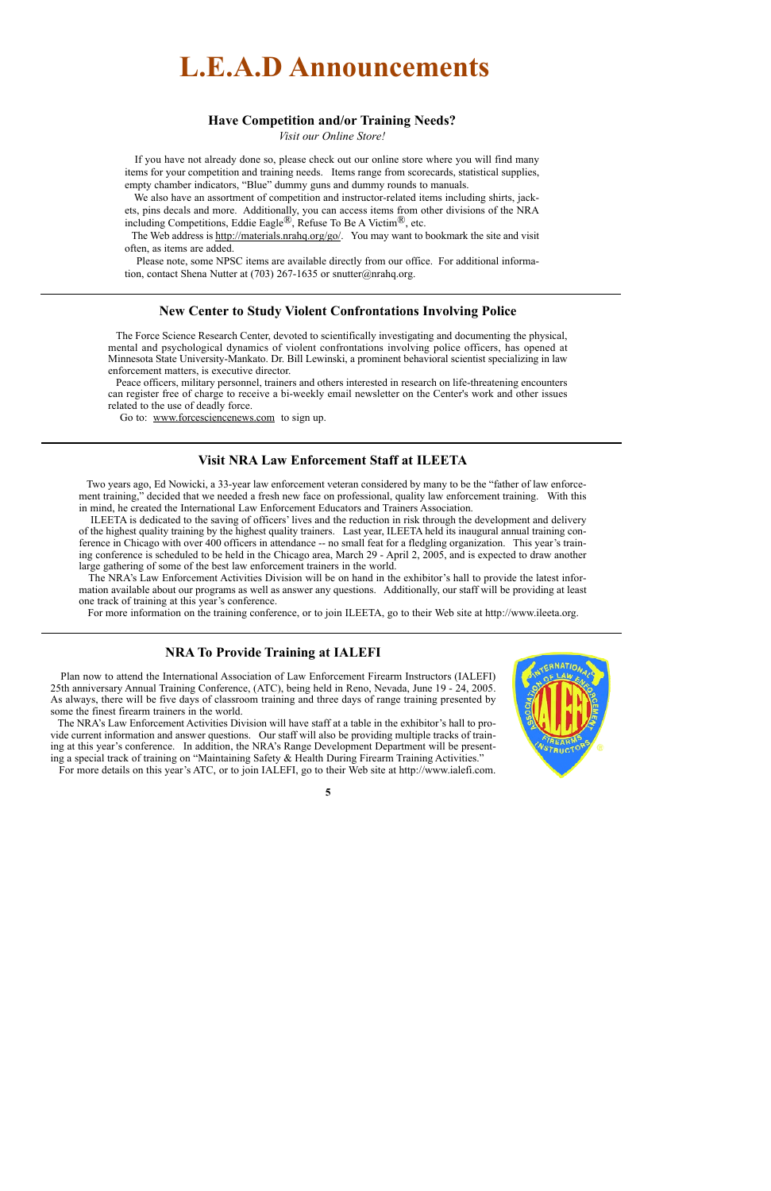# **L.E.A.D Announcements**

### **Have Competition and/or Training Needs?**

*Visit our Online Store!*

If you have not already done so, please check out our online store where you will find many items for your competition and training needs. Items range from scorecards, statistical supplies, empty chamber indicators, "Blue" dummy guns and dummy rounds to manuals.

We also have an assortment of competition and instructor-related items including shirts, jackets, pins decals and more. Additionally, you can access items from other divisions of the NRA including Competitions, Eddie Eagle®, Refuse To Be A Victim®, etc.

The Web address is http://materials.nrahq.org/go/. You may want to bookmark the site and visit often, as items are added.

Please note, some NPSC items are available directly from our office. For additional information, contact Shena Nutter at (703) 267-1635 or snutter@nrahq.org.

## **New Center to Study Violent Confrontations Involving Police**

The Force Science Research Center, devoted to scientifically investigating and documenting the physical, mental and psychological dynamics of violent confrontations involving police officers, has opened at Minnesota State University-Mankato. Dr. Bill Lewinski, a prominent behavioral scientist specializing in law enforcement matters, is executive director.

Peace officers, military personnel, trainers and others interested in research on life-threatening encounters can register free of charge to receive a bi-weekly email newsletter on the Center's work and other issues related to the use of deadly force.

Go to: www.forcesciencenews.com to sign up.

## **Visit NRA Law Enforcement Staff at ILEETA**

Two years ago, Ed Nowicki, a 33-year law enforcement veteran considered by many to be the "father of law enforcement training," decided that we needed a fresh new face on professional, quality law enforcement training. With this in mind, he created the International Law Enforcement Educators and Trainers Association.

ILEETA is dedicated to the saving of officers' lives and the reduction in risk through the development and delivery of the highest quality training by the highest quality trainers. Last year, ILEETA held its inaugural annual training conference in Chicago with over 400 officers in attendance -- no small feat for a fledgling organization. This year's training conference is scheduled to be held in the Chicago area, March 29 - April 2, 2005, and is expected to draw another large gathering of some of the best law enforcement trainers in the world.

The NRA's Law Enforcement Activities Division will be on hand in the exhibitor's hall to provide the latest information available about our programs as well as answer any questions. Additionally, our staff will be providing at least one track of training at this year's conference.

For more information on the training conference, or to join ILEETA, go to their Web site at http://www.ileeta.org.

## **NRA To Provide Training at IALEFI**

Plan now to attend the International Association of Law Enforcement Firearm Instructors (IALEFI) 25th anniversary Annual Training Conference, (ATC), being held in Reno, Nevada, June 19 - 24, 2005. As always, there will be five days of classroom training and three days of range training presented by some the finest firearm trainers in the world.

The NRA's Law Enforcement Activities Division will have staff at a table in the exhibitor's hall to provide current information and answer questions. Our staff will also be providing multiple tracks of training at this year's conference. In addition, the NRA's Range Development Department will be presenting a special track of training on "Maintaining Safety & Health During Firearm Training Activities."

For more details on this year's ATC, or to join IALEFI, go to their Web site at http://www.ialefi.com.

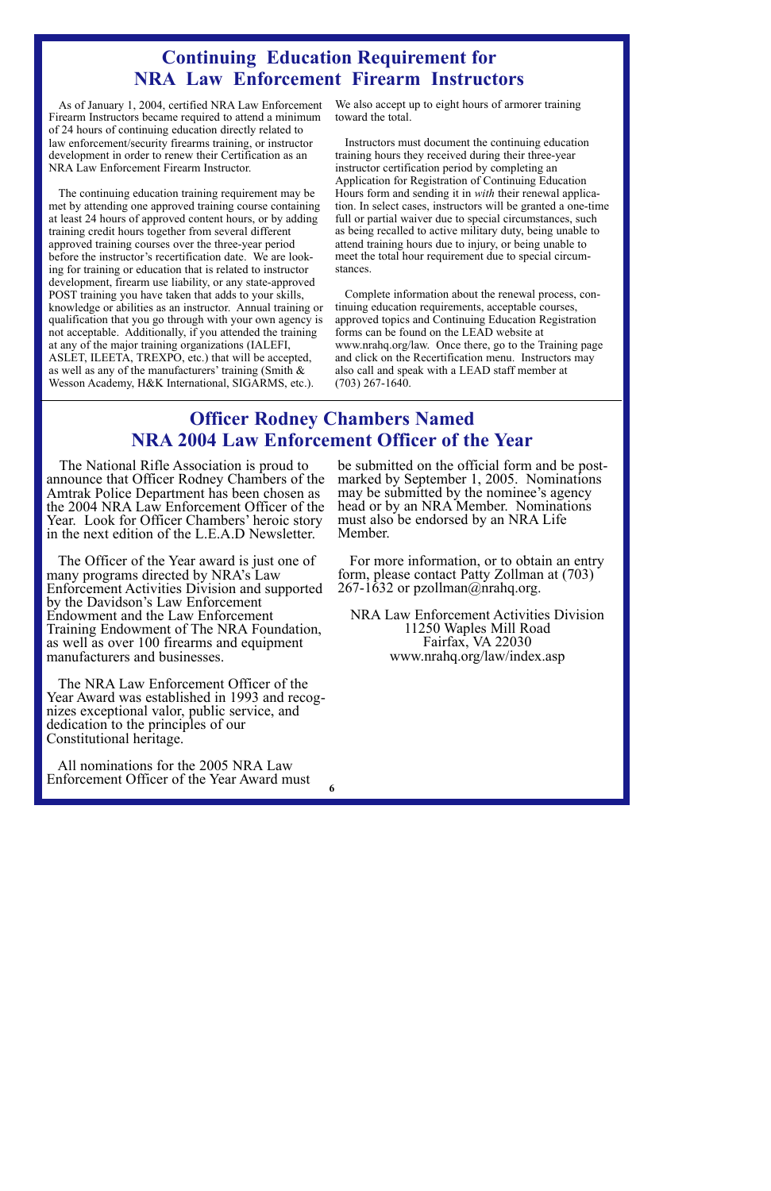# **Continuing Education Requirement for NRA Law Enforcement Firearm Instructors**

As of January 1, 2004, certified NRA Law Enforcement Firearm Instructors became required to attend a minimum of 24 hours of continuing education directly related to law enforcement/security firearms training, or instructor development in order to renew their Certification as an NRA Law Enforcement Firearm Instructor.

The continuing education training requirement may be met by attending one approved training course containing at least 24 hours of approved content hours, or by adding training credit hours together from several different approved training courses over the three-year period before the instructor's recertification date. We are looking for training or education that is related to instructor development, firearm use liability, or any state-approved POST training you have taken that adds to your skills, knowledge or abilities as an instructor. Annual training or qualification that you go through with your own agency is not acceptable. Additionally, if you attended the training at any of the major training organizations (IALEFI, ASLET, ILEETA, TREXPO, etc.) that will be accepted, as well as any of the manufacturers' training (Smith & Wesson Academy, H&K International, SIGARMS, etc.).

We also accept up to eight hours of armorer training toward the total.

Instructors must document the continuing education training hours they received during their three-year instructor certification period by completing an Application for Registration of Continuing Education Hours form and sending it in *with* their renewal application. In select cases, instructors will be granted a one-time full or partial waiver due to special circumstances, such as being recalled to active military duty, being unable to attend training hours due to injury, or being unable to meet the total hour requirement due to special circumstances.

Complete information about the renewal process, continuing education requirements, acceptable courses, approved topics and Continuing Education Registration forms can be found on the LEAD website at www.nrahq.org/law. Once there, go to the Training page and click on the Recertification menu. Instructors may also call and speak with a LEAD staff member at (703) 267-1640.

# **Officer Rodney Chambers Named NRA 2004 Law Enforcement Officer of the Year**

The National Rifle Association is proud to announce that Officer Rodney Chambers of the Amtrak Police Department has been chosen as the 2004 NRA Law Enforcement Officer of the Year. Look for Officer Chambers' heroic story in the next edition of the L.E.A.D Newsletter.

The Officer of the Year award is just one of many programs directed by NRA's Law Enforcement Activities Division and supported by the Davidson's Law Enforcement Endowment and the Law Enforcement Training Endowment of The NRA Foundation, as well as over 100 firearms and equipment manufacturers and businesses.

The NRA Law Enforcement Officer of the Year Award was established in 1993 and recog- nizes exceptional valor, public service, and dedication to the principles of our Constitutional heritage.

All nominations for the 2005 NRA Law Enforcement Officer of the Year Award must be submitted on the official form and be post- marked by September 1, 2005. Nominations may be submitted by the nominee's agency head or by an NRA Member. Nominations must also be endorsed by an NRA Life Member.

For more information, or to obtain an entry form, please contact Patty Zollman at (703) 267-1632 or pzollman@nrahq.org.

NRA Law Enforcement Activities Division 11250 Waples Mill Road Fairfax, VA 22030 www.nrahq.org/law/index.asp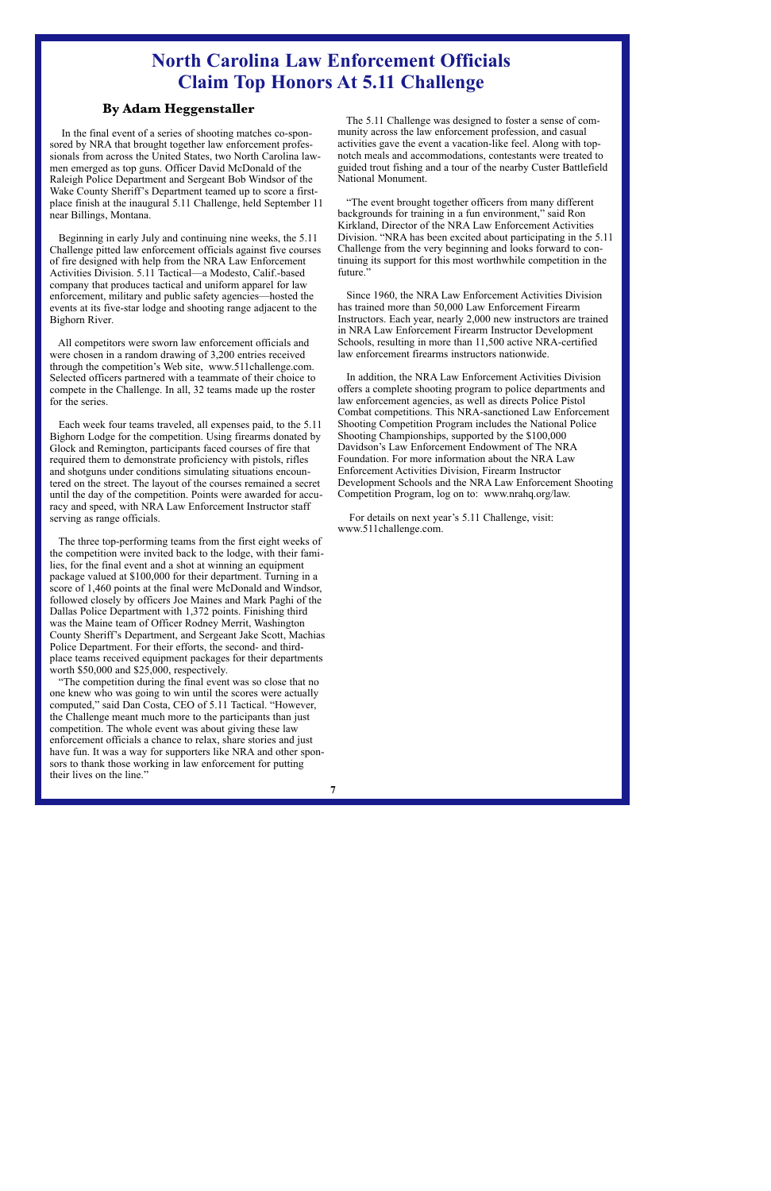# **North Carolina Law Enforcement Officials Claim Top Honors At 5.11 Challenge**

## **By Adam Heggenstaller**

In the final event of a series of shooting matches co-sponsored by NRA that brought together law enforcement professionals from across the United States, two North Carolina lawmen emerged as top guns. Officer David McDonald of the Raleigh Police Department and Sergeant Bob Windsor of the Wake County Sheriff's Department teamed up to score a firstplace finish at the inaugural 5.11 Challenge, held September 11 near Billings, Montana.

Beginning in early July and continuing nine weeks, the 5.11 Challenge pitted law enforcement officials against five courses of fire designed with help from the NRA Law Enforcement Activities Division. 5.11 Tactical—a Modesto, Calif.-based company that produces tactical and uniform apparel for law enforcement, military and public safety agencies—hosted the events at its five-star lodge and shooting range adjacent to the Bighorn River.

All competitors were sworn law enforcement officials and were chosen in a random drawing of 3,200 entries received through the competition's Web site, www.511challenge.com. Selected officers partnered with a teammate of their choice to compete in the Challenge. In all, 32 teams made up the roster for the series.

Each week four teams traveled, all expenses paid, to the 5.11 Bighorn Lodge for the competition. Using firearms donated by Glock and Remington, participants faced courses of fire that required them to demonstrate proficiency with pistols, rifles and shotguns under conditions simulating situations encountered on the street. The layout of the courses remained a secret until the day of the competition. Points were awarded for accuracy and speed, with NRA Law Enforcement Instructor staff serving as range officials.

The three top-performing teams from the first eight weeks of the competition were invited back to the lodge, with their families, for the final event and a shot at winning an equipment package valued at \$100,000 for their department. Turning in a score of 1,460 points at the final were McDonald and Windsor, followed closely by officers Joe Maines and Mark Paghi of the Dallas Police Department with 1,372 points. Finishing third was the Maine team of Officer Rodney Merrit, Washington County Sheriff's Department, and Sergeant Jake Scott, Machias Police Department. For their efforts, the second- and thirdplace teams received equipment packages for their departments worth \$50,000 and \$25,000, respectively.

"The competition during the final event was so close that no one knew who was going to win until the scores were actually computed," said Dan Costa, CEO of 5.11 Tactical. "However, the Challenge meant much more to the participants than just competition. The whole event was about giving these law enforcement officials a chance to relax, share stories and just have fun. It was a way for supporters like NRA and other sponsors to thank those working in law enforcement for putting their lives on the line."

The 5.11 Challenge was designed to foster a sense of community across the law enforcement profession, and casual activities gave the event a vacation-like feel. Along with topnotch meals and accommodations, contestants were treated to guided trout fishing and a tour of the nearby Custer Battlefield National Monument.

"The event brought together officers from many different backgrounds for training in a fun environment," said Ron Kirkland, Director of the NRA Law Enforcement Activities Division. "NRA has been excited about participating in the 5.11 Challenge from the very beginning and looks forward to continuing its support for this most worthwhile competition in the future."

Since 1960, the NRA Law Enforcement Activities Division has trained more than 50,000 Law Enforcement Firearm Instructors. Each year, nearly 2,000 new instructors are trained in NRA Law Enforcement Firearm Instructor Development Schools, resulting in more than 11,500 active NRA-certified law enforcement firearms instructors nationwide.

In addition, the NRA Law Enforcement Activities Division offers a complete shooting program to police departments and law enforcement agencies, as well as directs Police Pistol Combat competitions. This NRA-sanctioned Law Enforcement Shooting Competition Program includes the National Police Shooting Championships, supported by the \$100,000 Davidson's Law Enforcement Endowment of The NRA Foundation. For more information about the NRA Law Enforcement Activities Division, Firearm Instructor Development Schools and the NRA Law Enforcement Shooting Competition Program, log on to: www.nrahq.org/law.

For details on next year's 5.11 Challenge, visit: www.511challenge.com.